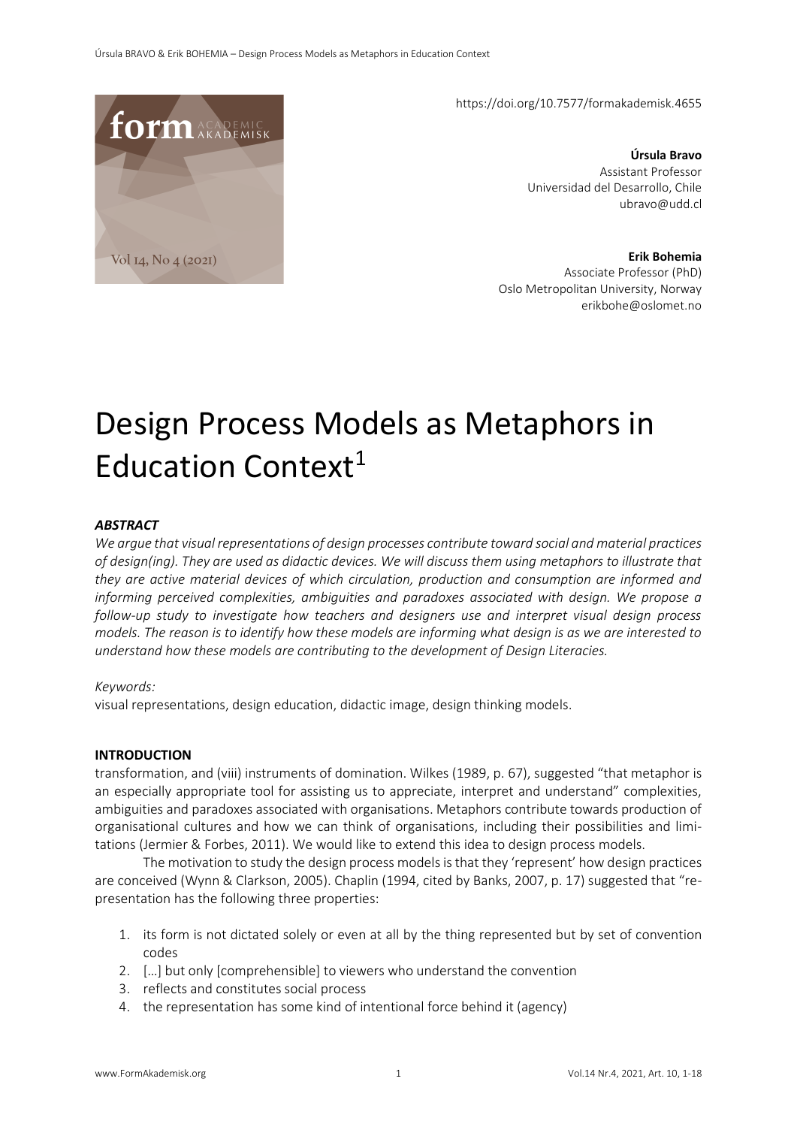**form** ACADEMIC Vol 14, No 4 (2021)

https://doi.org/10.7577/formakademisk.4655

**Úrsula Bravo**  Assistant Professor Universidad del Desarrollo, Chile ubravo@udd.cl

**Erik Bohemia**  Associate Professor (PhD) Oslo Metropolitan University, Norway erikbohe@oslomet.no

# Design Process Models as Metaphors in Education Context $1$

## *ABSTRACT*

*We argue that visual representations of design processes contribute toward social and material practices of design(ing). They are used as didactic devices. We will discuss them using metaphors to illustrate that they are active material devices of which circulation, production and consumption are informed and informing perceived complexities, ambiguities and paradoxes associated with design. We propose a follow-up study to investigate how teachers and designers use and interpret visual design process models. The reason is to identify how these models are informing what design is as we are interested to understand how these models are contributing to the development of Design Literacies.*

#### *Keywords:*

visual representations, design education, didactic image, design thinking models.

#### **INTRODUCTION**

transformation, and (viii) instruments of domination. Wilkes (1989, p. 67), suggested "that metaphor is an especially appropriate tool for assisting us to appreciate, interpret and understand" complexities, ambiguities and paradoxes associated with organisations. Metaphors contribute towards production of organisational cultures and how we can think of organisations, including their possibilities and limitations (Jermier & Forbes, 2011). We would like to extend this idea to design process models.

The motivation to study the design process models is that they 'represent' how design practices are conceived (Wynn & Clarkson, 2005). Chaplin (1994, cited by Banks, 2007, p. 17) suggested that "representation has the following three properties:

- 1. its form is not dictated solely or even at all by the thing represented but by set of convention codes
- 2. […] but only [comprehensible] to viewers who understand the convention
- 3. reflects and constitutes social process
- 4. the representation has some kind of intentional force behind it (agency)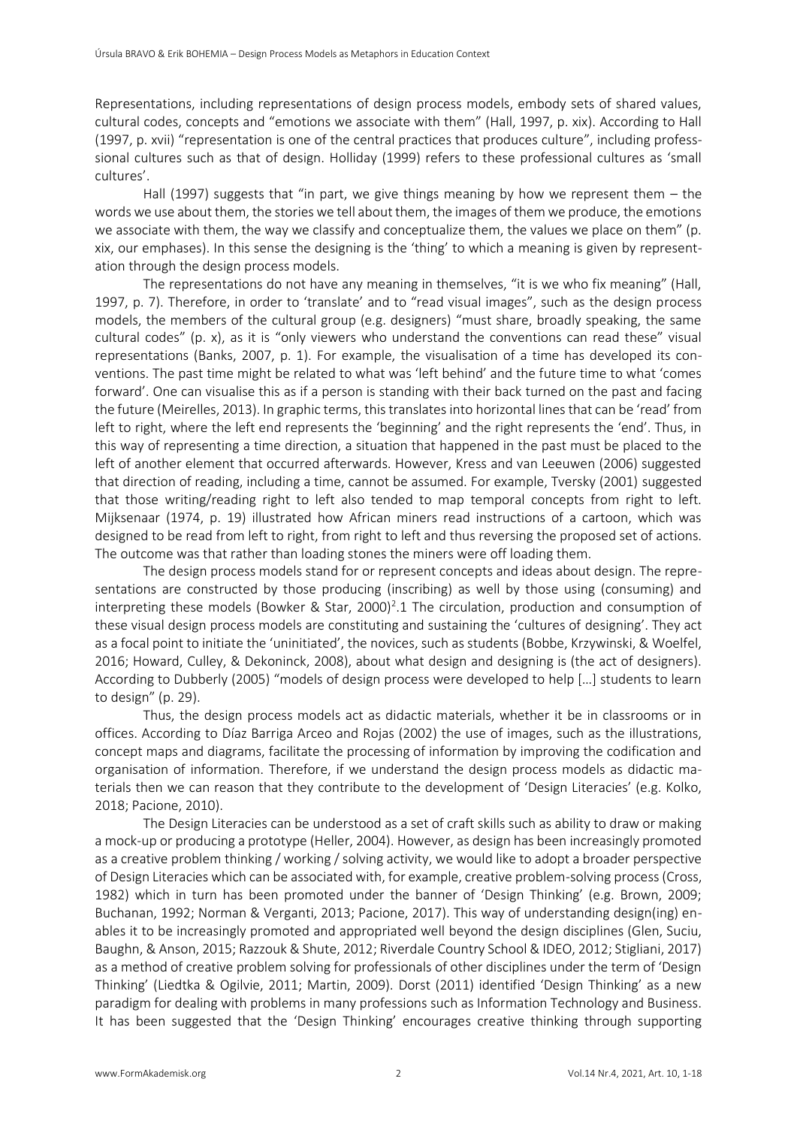Representations, including representations of design process models, embody sets of shared values, cultural codes, concepts and "emotions we associate with them" (Hall, 1997, p. xix). According to Hall (1997, p. xvii) "representation is one of the central practices that produces culture", including professsional cultures such as that of design. Holliday (1999) refers to these professional cultures as 'small cultures'.

Hall (1997) suggests that "in part, we give things meaning by how we represent them  $-$  the words we use about them, the stories we tell about them, the images of them we produce, the emotions we associate with them, the way we classify and conceptualize them, the values we place on them" (p. xix, our emphases). In this sense the designing is the 'thing' to which a meaning is given by representation through the design process models.

The representations do not have any meaning in themselves, "it is we who fix meaning" (Hall, 1997, p. 7). Therefore, in order to 'translate' and to "read visual images", such as the design process models, the members of the cultural group (e.g. designers) "must share, broadly speaking, the same cultural codes" (p. x), as it is "only viewers who understand the conventions can read these" visual representations (Banks, 2007, p. 1). For example, the visualisation of a time has developed its conventions. The past time might be related to what was 'left behind' and the future time to what 'comes forward'. One can visualise this as if a person is standing with their back turned on the past and facing the future (Meirelles, 2013). In graphic terms, this translates into horizontal lines that can be 'read' from left to right, where the left end represents the 'beginning' and the right represents the 'end'. Thus, in this way of representing a time direction, a situation that happened in the past must be placed to the left of another element that occurred afterwards. However, Kress and van Leeuwen (2006) suggested that direction of reading, including a time, cannot be assumed. For example, Tversky (2001) suggested that those writing/reading right to left also tended to map temporal concepts from right to left. Mijksenaar (1974, p. 19) illustrated how African miners read instructions of a cartoon, which was designed to be read from left to right, from right to left and thus reversing the proposed set of actions. The outcome was that rather than loading stones the miners were off loading them.

The design process models stand for or represent concepts and ideas about design. The representations are constructed by those producing (inscribing) as well by those using (consuming) and interpreting these models (Bowker & Star, 2000)<sup>2</sup>.1 The circulation, production and consumption of these visual design process models are constituting and sustaining the 'cultures of designing'. They act as a focal point to initiate the 'uninitiated', the novices, such as students (Bobbe, Krzywinski, & Woelfel, 2016; Howard, Culley, & Dekoninck, 2008), about what design and designing is (the act of designers). According to Dubberly (2005) "models of design process were developed to help […] students to learn to design" (p. 29).

Thus, the design process models act as didactic materials, whether it be in classrooms or in offices. According to Díaz Barriga Arceo and Rojas (2002) the use of images, such as the illustrations, concept maps and diagrams, facilitate the processing of information by improving the codification and organisation of information. Therefore, if we understand the design process models as didactic materials then we can reason that they contribute to the development of 'Design Literacies' (e.g. Kolko, 2018; Pacione, 2010).

The Design Literacies can be understood as a set of craft skills such as ability to draw or making a mock-up or producing a prototype (Heller, 2004). However, as design has been increasingly promoted as a creative problem thinking / working / solving activity, we would like to adopt a broader perspective of Design Literacies which can be associated with, for example, creative problem-solving process (Cross, 1982) which in turn has been promoted under the banner of 'Design Thinking' (e.g. Brown, 2009; Buchanan, 1992; Norman & Verganti, 2013; Pacione, 2017). This way of understanding design(ing) enables it to be increasingly promoted and appropriated well beyond the design disciplines (Glen, Suciu, Baughn, & Anson, 2015; Razzouk & Shute, 2012; Riverdale Country School & IDEO, 2012; Stigliani, 2017) as a method of creative problem solving for professionals of other disciplines under the term of 'Design Thinking' (Liedtka & Ogilvie, 2011; Martin, 2009). Dorst (2011) identified 'Design Thinking' as a new paradigm for dealing with problems in many professions such as Information Technology and Business. It has been suggested that the 'Design Thinking' encourages creative thinking through supporting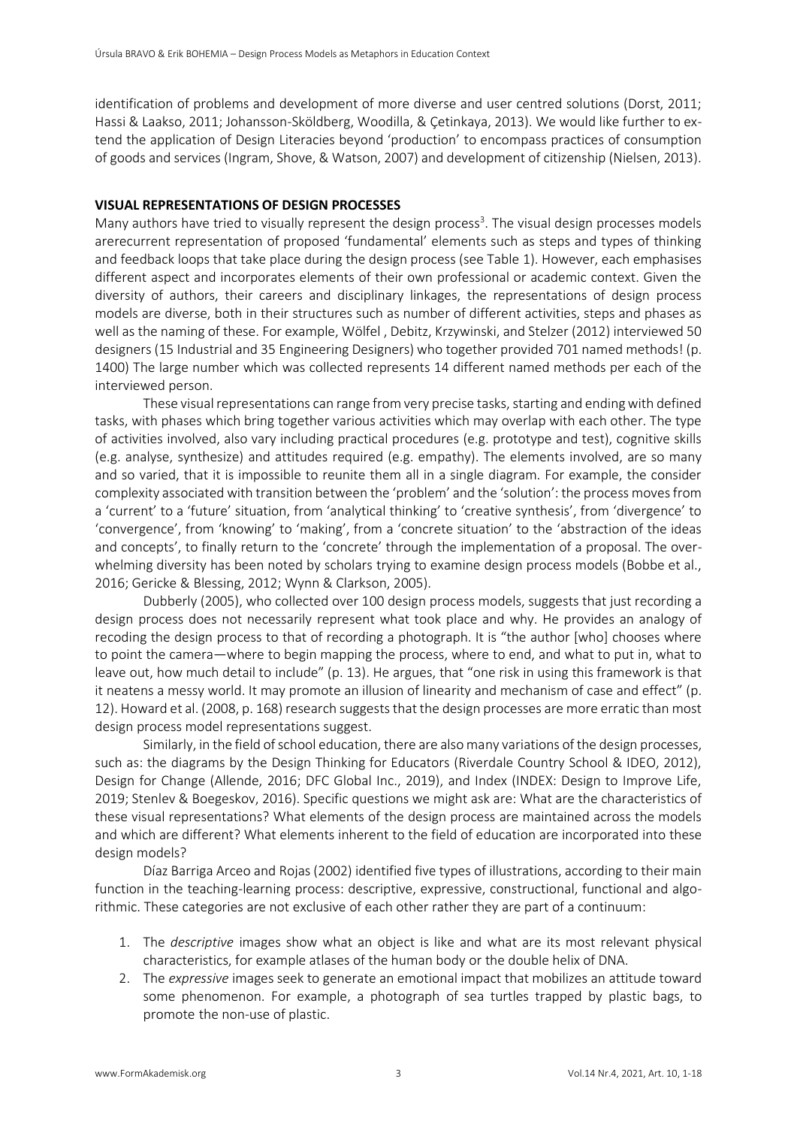identification of problems and development of more diverse and user centred solutions (Dorst, 2011; Hassi & Laakso, 2011; Johansson-Sköldberg, Woodilla, & Çetinkaya, 2013). We would like further to extend the application of Design Literacies beyond 'production' to encompass practices of consumption of goods and services (Ingram, Shove, & Watson, 2007) and development of citizenship (Nielsen, 2013).

## **VISUAL REPRESENTATIONS OF DESIGN PROCESSES**

Many authors have tried to visually represent the design process<sup>3</sup>. The visual design processes models arerecurrent representation of proposed 'fundamental' elements such as steps and types of thinking and feedback loops that take place during the design process (see Table 1). However, each emphasises different aspect and incorporates elements of their own professional or academic context. Given the diversity of authors, their careers and disciplinary linkages, the representations of design process models are diverse, both in their structures such as number of different activities, steps and phases as well as the naming of these. For example, Wölfel , Debitz, Krzywinski, and Stelzer (2012) interviewed 50 designers (15 Industrial and 35 Engineering Designers) who together provided 701 named methods! (p. 1400) The large number which was collected represents 14 different named methods per each of the interviewed person.

These visual representations can range from very precise tasks, starting and ending with defined tasks, with phases which bring together various activities which may overlap with each other. The type of activities involved, also vary including practical procedures (e.g. prototype and test), cognitive skills (e.g. analyse, synthesize) and attitudes required (e.g. empathy). The elements involved, are so many and so varied, that it is impossible to reunite them all in a single diagram. For example, the consider complexity associated with transition between the 'problem' and the 'solution': the process moves from a 'current' to a 'future' situation, from 'analytical thinking' to 'creative synthesis', from 'divergence' to 'convergence', from 'knowing' to 'making', from a 'concrete situation' to the 'abstraction of the ideas and concepts', to finally return to the 'concrete' through the implementation of a proposal. The overwhelming diversity has been noted by scholars trying to examine design process models (Bobbe et al., 2016; Gericke & Blessing, 2012; Wynn & Clarkson, 2005).

Dubberly (2005), who collected over 100 design process models, suggests that just recording a design process does not necessarily represent what took place and why. He provides an analogy of recoding the design process to that of recording a photograph. It is "the author [who] chooses where to point the camera—where to begin mapping the process, where to end, and what to put in, what to leave out, how much detail to include" (p. 13). He argues, that "one risk in using this framework is that it neatens a messy world. It may promote an illusion of linearity and mechanism of case and effect" (p. 12). Howard et al. (2008, p. 168) research suggests that the design processes are more erratic than most design process model representations suggest.

Similarly, in the field of school education, there are also many variations of the design processes, such as: the diagrams by the Design Thinking for Educators (Riverdale Country School & IDEO, 2012), Design for Change (Allende, 2016; DFC Global Inc., 2019), and Index (INDEX: Design to Improve Life, 2019; Stenlev & Boegeskov, 2016). Specific questions we might ask are: What are the characteristics of these visual representations? What elements of the design process are maintained across the models and which are different? What elements inherent to the field of education are incorporated into these design models?

Díaz Barriga Arceo and Rojas (2002) identified five types of illustrations, according to their main function in the teaching-learning process: descriptive, expressive, constructional, functional and algorithmic. These categories are not exclusive of each other rather they are part of a continuum:

- 1. The *descriptive* images show what an object is like and what are its most relevant physical characteristics, for example atlases of the human body or the double helix of DNA.
- 2. The *expressive* images seek to generate an emotional impact that mobilizes an attitude toward some phenomenon. For example, a photograph of sea turtles trapped by plastic bags, to promote the non-use of plastic.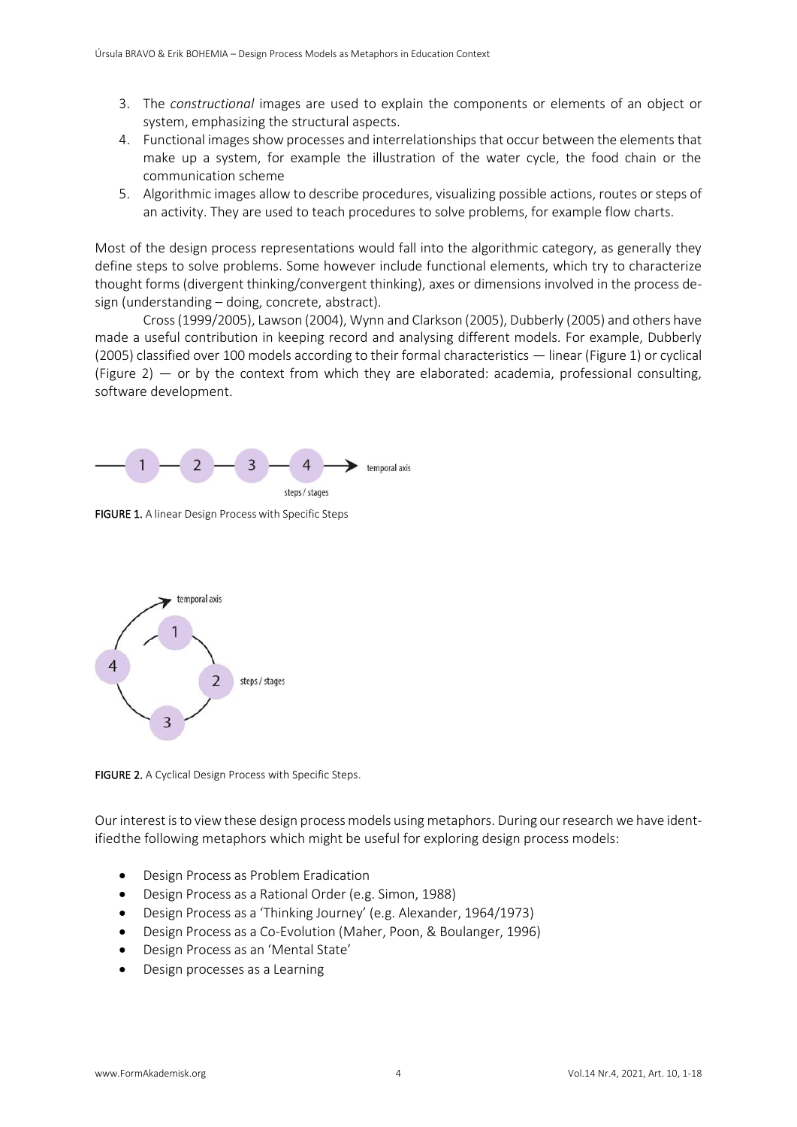- 3. The *constructional* images are used to explain the components or elements of an object or system, emphasizing the structural aspects.
- 4. Functional images show processes and interrelationships that occur between the elements that make up a system, for example the illustration of the water cycle, the food chain or the communication scheme
- 5. Algorithmic images allow to describe procedures, visualizing possible actions, routes or steps of an activity. They are used to teach procedures to solve problems, for example flow charts.

Most of the design process representations would fall into the algorithmic category, as generally they define steps to solve problems. Some however include functional elements, which try to characterize thought forms (divergent thinking/convergent thinking), axes or dimensions involved in the process design (understanding – doing, concrete, abstract).

Cross (1999/2005), Lawson (2004), Wynn and Clarkson (2005), Dubberly (2005) and others have made a useful contribution in keeping record and analysing different models. For example, Dubberly (2005) classified over 100 models according to their formal characteristics — linear (Figure 1) or cyclical (Figure 2) — or by the context from which they are elaborated: academia, professional consulting, software development.



FIGURE 1. A linear Design Process with Specific Steps



FIGURE 2. A Cyclical Design Process with Specific Steps.

Our interest is to view these design process models using metaphors. During our research we have identifiedthe following metaphors which might be useful for exploring design process models:

- Design Process as Problem Eradication
- Design Process as a Rational Order (e.g. Simon, 1988)
- Design Process as a 'Thinking Journey' (e.g. Alexander, 1964/1973)
- Design Process as a Co-Evolution (Maher, Poon, & Boulanger, 1996)
- Design Process as an 'Mental State'
- Design processes as a Learning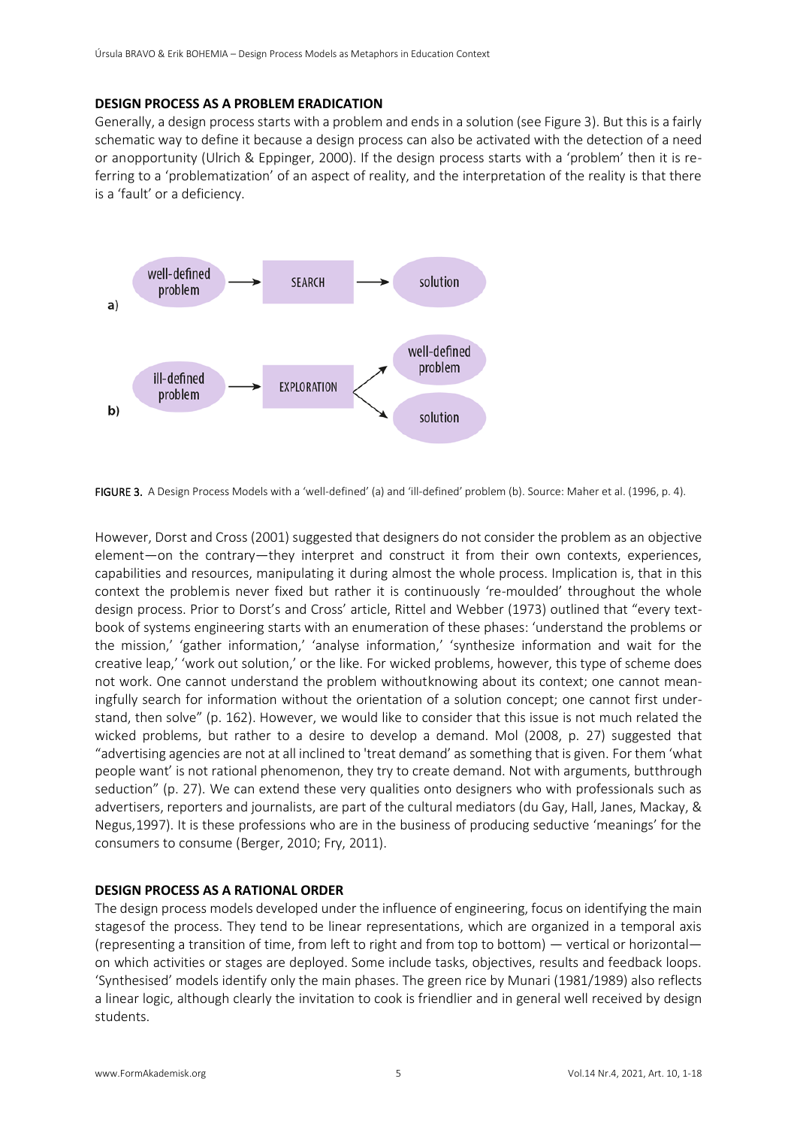#### **DESIGN PROCESS AS A PROBLEM ERADICATION**

Generally, a design process starts with a problem and ends in a solution (see Figure 3). But this is a fairly schematic way to define it because a design process can also be activated with the detection of a need or anopportunity (Ulrich & Eppinger, 2000). If the design process starts with a 'problem' then it is referring to a 'problematization' of an aspect of reality, and the interpretation of the reality is that there is a 'fault' or a deficiency.



FIGURE 3. A Design Process Models with a 'well-defined' (a) and 'ill-defined' problem (b). Source: Maher et al. (1996, p. 4).

However, Dorst and Cross (2001) suggested that designers do not consider the problem as an objective element—on the contrary—they interpret and construct it from their own contexts, experiences, capabilities and resources, manipulating it during almost the whole process. Implication is, that in this context the problemis never fixed but rather it is continuously 're-moulded' throughout the whole design process. Prior to Dorst's and Cross' article, Rittel and Webber (1973) outlined that "every textbook of systems engineering starts with an enumeration of these phases: 'understand the problems or the mission,' 'gather information,' 'analyse information,' 'synthesize information and wait for the creative leap,' 'work out solution,' or the like. For wicked problems, however, this type of scheme does not work. One cannot understand the problem withoutknowing about its context; one cannot meaningfully search for information without the orientation of a solution concept; one cannot first understand, then solve" (p. 162). However, we would like to consider that this issue is not much related the wicked problems, but rather to a desire to develop a demand. Mol (2008, p. 27) suggested that "advertising agencies are not at all inclined to 'treat demand' as something that is given. For them 'what people want' is not rational phenomenon, they try to create demand. Not with arguments, butthrough seduction" (p. 27). We can extend these very qualities onto designers who with professionals such as advertisers, reporters and journalists, are part of the cultural mediators (du Gay, Hall, Janes, Mackay, & Negus,1997). It is these professions who are in the business of producing seductive 'meanings' for the consumers to consume (Berger, 2010; Fry, 2011).

## **DESIGN PROCESS AS A RATIONAL ORDER**

The design process models developed under the influence of engineering, focus on identifying the main stagesof the process. They tend to be linear representations, which are organized in a temporal axis (representing a transition of time, from left to right and from top to bottom) — vertical or horizontal on which activities or stages are deployed. Some include tasks, objectives, results and feedback loops. 'Synthesised' models identify only the main phases. The green rice by Munari (1981/1989) also reflects a linear logic, although clearly the invitation to cook is friendlier and in general well received by design students.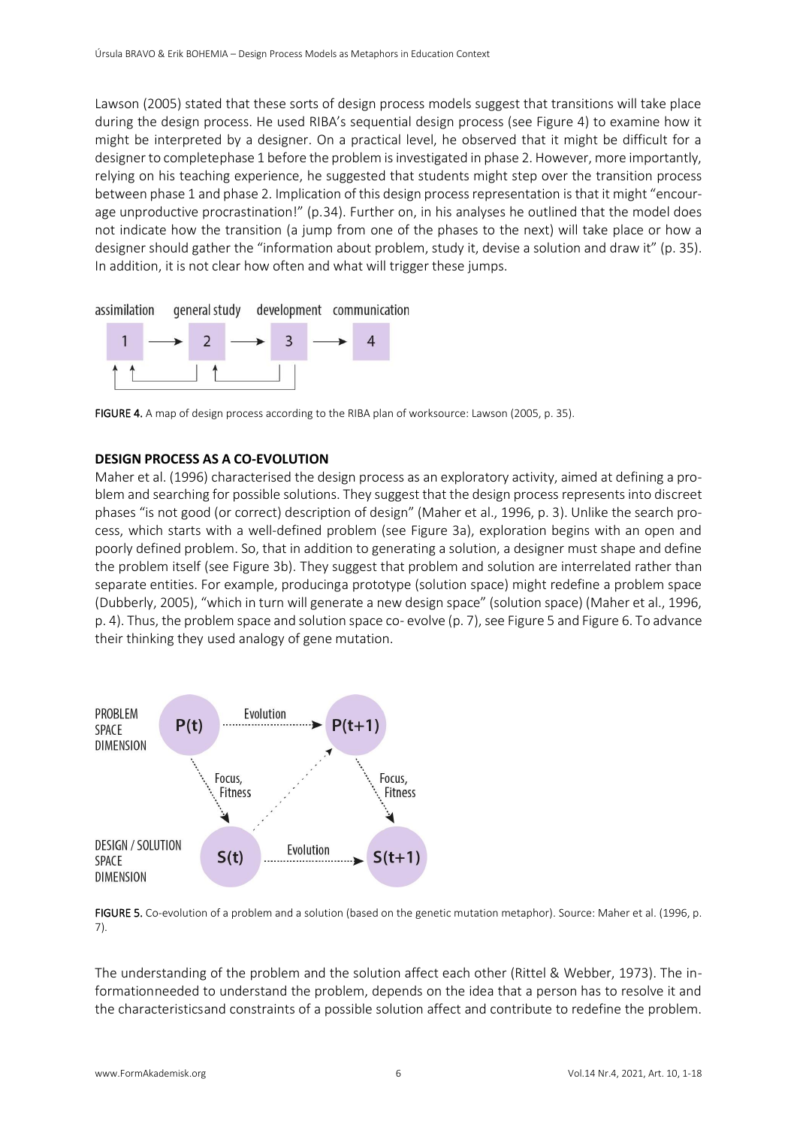Lawson (2005) stated that these sorts of design process models suggest that transitions will take place during the design process. He used RIBA's sequential design process (see Figure 4) to examine how it might be interpreted by a designer. On a practical level, he observed that it might be difficult for a designer to completephase 1 before the problem is investigated in phase 2. However, more importantly, relying on his teaching experience, he suggested that students might step over the transition process between phase 1 and phase 2. Implication of this design process representation is that it might "encourage unproductive procrastination!" (p.34). Further on, in his analyses he outlined that the model does not indicate how the transition (a jump from one of the phases to the next) will take place or how a designer should gather the "information about problem, study it, devise a solution and draw it" (p. 35). In addition, it is not clear how often and what will trigger these jumps.



FIGURE 4. A map of design process according to the RIBA plan of worksource: Lawson (2005, p. 35).

## **DESIGN PROCESS AS A CO-EVOLUTION**

Maher et al. (1996) characterised the design process as an exploratory activity, aimed at defining a problem and searching for possible solutions. They suggest that the design process represents into discreet phases "is not good (or correct) description of design" (Maher et al., 1996, p. 3). Unlike the search process, which starts with a well-defined problem (see Figure 3a), exploration begins with an open and poorly defined problem. So, that in addition to generating a solution, a designer must shape and define the problem itself (see Figure 3b). They suggest that problem and solution are interrelated rather than separate entities. For example, producinga prototype (solution space) might redefine a problem space (Dubberly, 2005), "which in turn will generate a new design space" (solution space) (Maher et al., 1996, p. 4). Thus, the problem space and solution space co- evolve (p. 7), see Figure 5 and Figure 6. To advance their thinking they used analogy of gene mutation.



FIGURE 5. Co-evolution of a problem and a solution (based on the genetic mutation metaphor). Source: Maher et al. (1996, p. 7).

The understanding of the problem and the solution affect each other (Rittel & Webber, 1973). The informationneeded to understand the problem, depends on the idea that a person has to resolve it and the characteristicsand constraints of a possible solution affect and contribute to redefine the problem.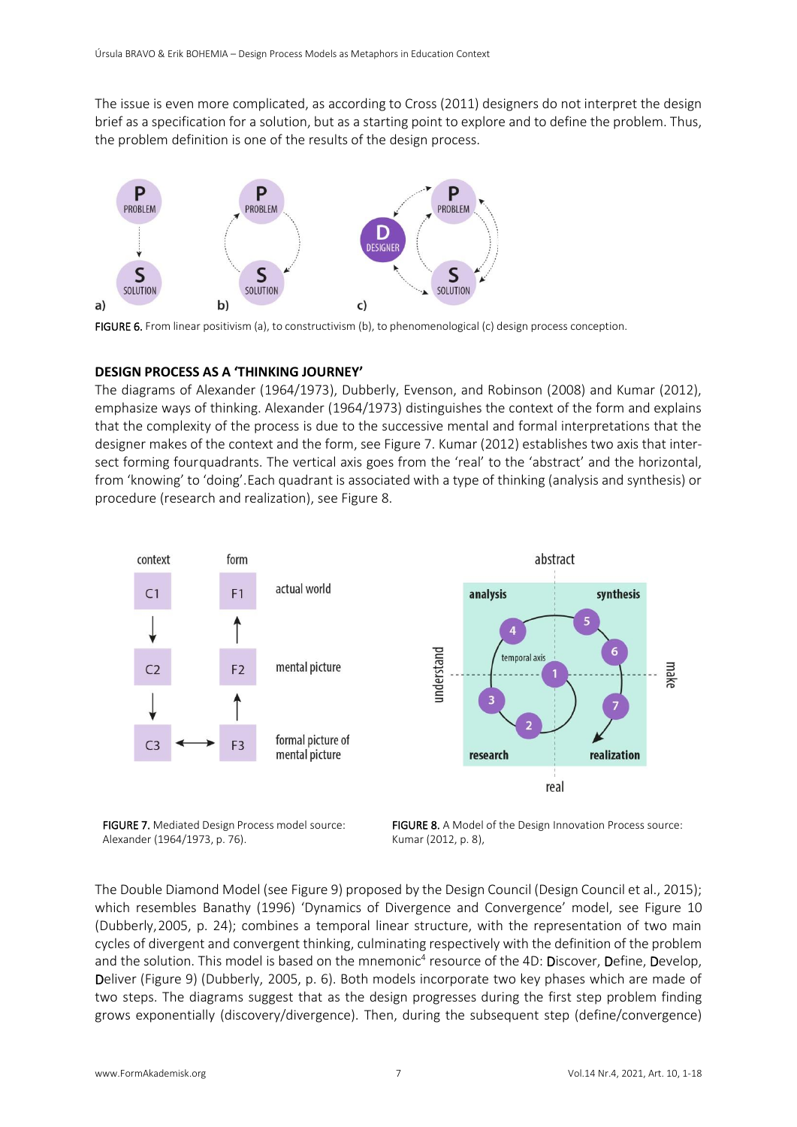The issue is even more complicated, as according to Cross (2011) designers do not interpret the design brief as a specification for a solution, but as a starting point to explore and to define the problem. Thus, the problem definition is one of the results of the design process.



FIGURE 6. From linear positivism (a), to constructivism (b), to phenomenological (c) design process conception.

#### **DESIGN PROCESS AS A 'THINKING JOURNEY'**

The diagrams of Alexander (1964/1973), Dubberly, Evenson, and Robinson (2008) and Kumar (2012), emphasize ways of thinking. Alexander (1964/1973) distinguishes the context of the form and explains that the complexity of the process is due to the successive mental and formal interpretations that the designer makes of the context and the form, see Figure 7. Kumar (2012) establishes two axis that intersect forming fourquadrants. The vertical axis goes from the 'real' to the 'abstract' and the horizontal, from 'knowing' to 'doing'.Each quadrant is associated with a type of thinking (analysis and synthesis) or procedure (research and realization), see Figure 8.



FIGURE 7. Mediated Design Process model source: Alexander (1964/1973, p. 76).

FIGURE 8. A Model of the Design Innovation Process source: Kumar (2012, p. 8),

The Double Diamond Model (see Figure 9) proposed by the Design Council (Design Council et al., 2015); which resembles Banathy (1996) 'Dynamics of Divergence and Convergence' model, see Figure 10 (Dubberly,2005, p. 24); combines a temporal linear structure, with the representation of two main cycles of divergent and convergent thinking, culminating respectively with the definition of the problem and the solution. This model is based on the mnemonic<sup>4</sup> resource of the 4D: Discover, Define, Develop, Deliver (Figure 9) (Dubberly, 2005, p. 6). Both models incorporate two key phases which are made of two steps. The diagrams suggest that as the design progresses during the first step problem finding grows exponentially (discovery/divergence). Then, during the subsequent step (define/convergence)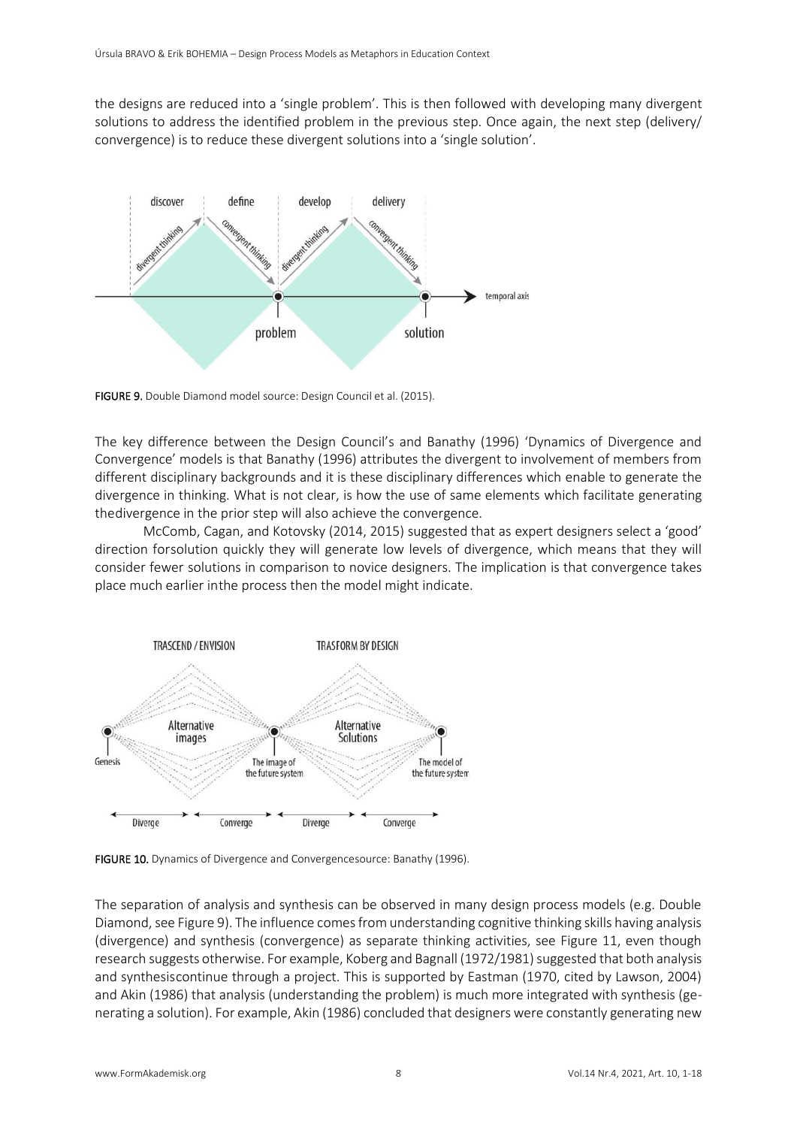the designs are reduced into a 'single problem'. This is then followed with developing many divergent solutions to address the identified problem in the previous step. Once again, the next step (delivery/ convergence) is to reduce these divergent solutions into a 'single solution'.



FIGURE 9. Double Diamond model source: Design Council et al. (2015).

The key difference between the Design Council's and Banathy (1996) 'Dynamics of Divergence and Convergence' models is that Banathy (1996) attributes the divergent to involvement of members from different disciplinary backgrounds and it is these disciplinary differences which enable to generate the divergence in thinking. What is not clear, is how the use of same elements which facilitate generating thedivergence in the prior step will also achieve the convergence.

McComb, Cagan, and Kotovsky (2014, 2015) suggested that as expert designers select a 'good' direction forsolution quickly they will generate low levels of divergence, which means that they will consider fewer solutions in comparison to novice designers. The implication is that convergence takes place much earlier inthe process then the model might indicate.



FIGURE 10. Dynamics of Divergence and Convergencesource: Banathy (1996).

The separation of analysis and synthesis can be observed in many design process models (e.g. Double Diamond, see Figure 9). The influence comes from understanding cognitive thinking skills having analysis (divergence) and synthesis (convergence) as separate thinking activities, see Figure 11, even though research suggests otherwise. For example, Koberg and Bagnall (1972/1981) suggested that both analysis and synthesiscontinue through a project. This is supported by Eastman (1970, cited by Lawson, 2004) and Akin (1986) that analysis (understanding the problem) is much more integrated with synthesis (generating a solution). For example, Akin (1986) concluded that designers were constantly generating new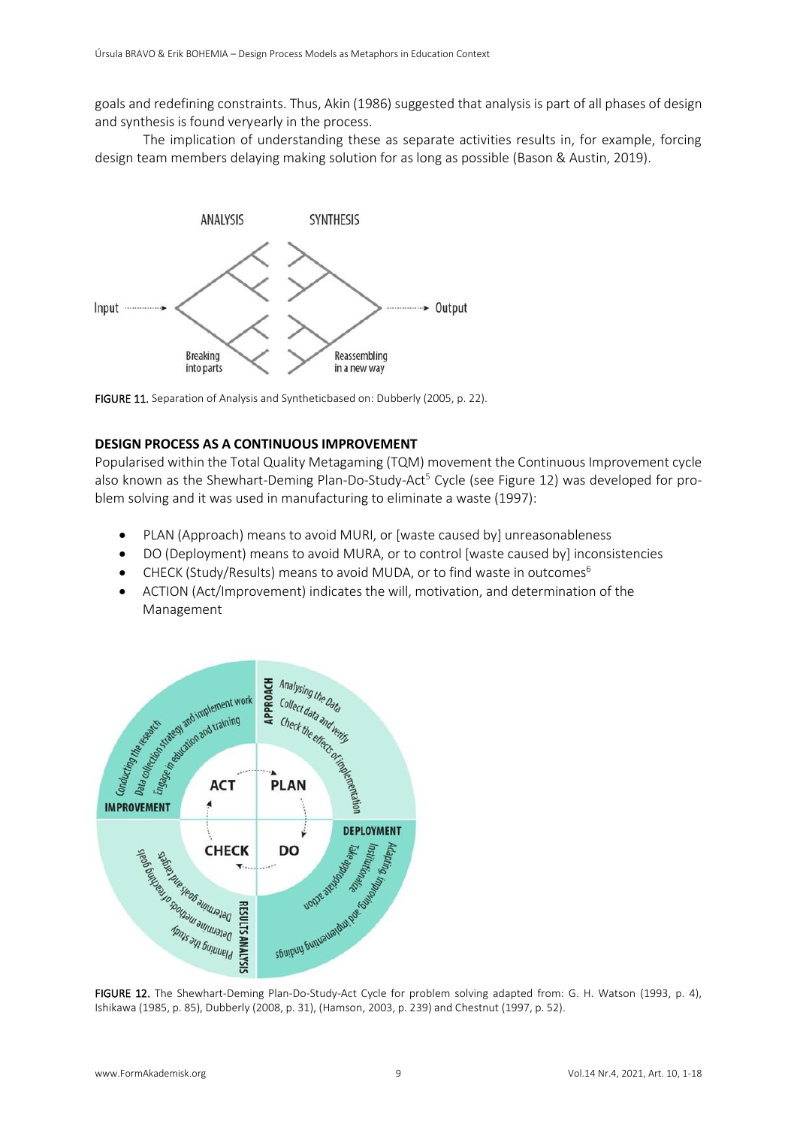goals and redefining constraints. Thus, Akin (1986) suggested that analysis is part of all phases of design and synthesis is found veryearly in the process.

The implication of understanding these as separate activities results in, for example, forcing design team members delaying making solution for as long as possible (Bason & Austin, 2019).



FIGURE 11. Separation of Analysis and Syntheticbased on: Dubberly (2005, p. 22).

## **DESIGN PROCESS AS A CONTINUOUS IMPROVEMENT**

Popularised within the Total Quality Metagaming (TQM) movement the Continuous Improvement cycle also known as the Shewhart-Deming Plan-Do-Study-Act<sup>5</sup> Cycle (see Figure 12) was developed for problem solving and it was used in manufacturing to eliminate a waste (1997):

- PLAN (Approach) means to avoid MURI, or [waste caused by] unreasonableness
- DO (Deployment) means to avoid MURA, or to control [waste caused by] inconsistencies
- CHECK (Study/Results) means to avoid MUDA, or to find waste in outcomes<sup>6</sup>
- ACTION (Act/Improvement) indicates the will, motivation, and determination of the Management



FIGURE 12. The Shewhart-Deming Plan-Do-Study-Act Cycle for problem solving adapted from: G. H. Watson (1993, p. 4), Ishikawa (1985, p. 85), Dubberly (2008, p. 31), (Hamson, 2003, p. 239) and Chestnut (1997, p. 52).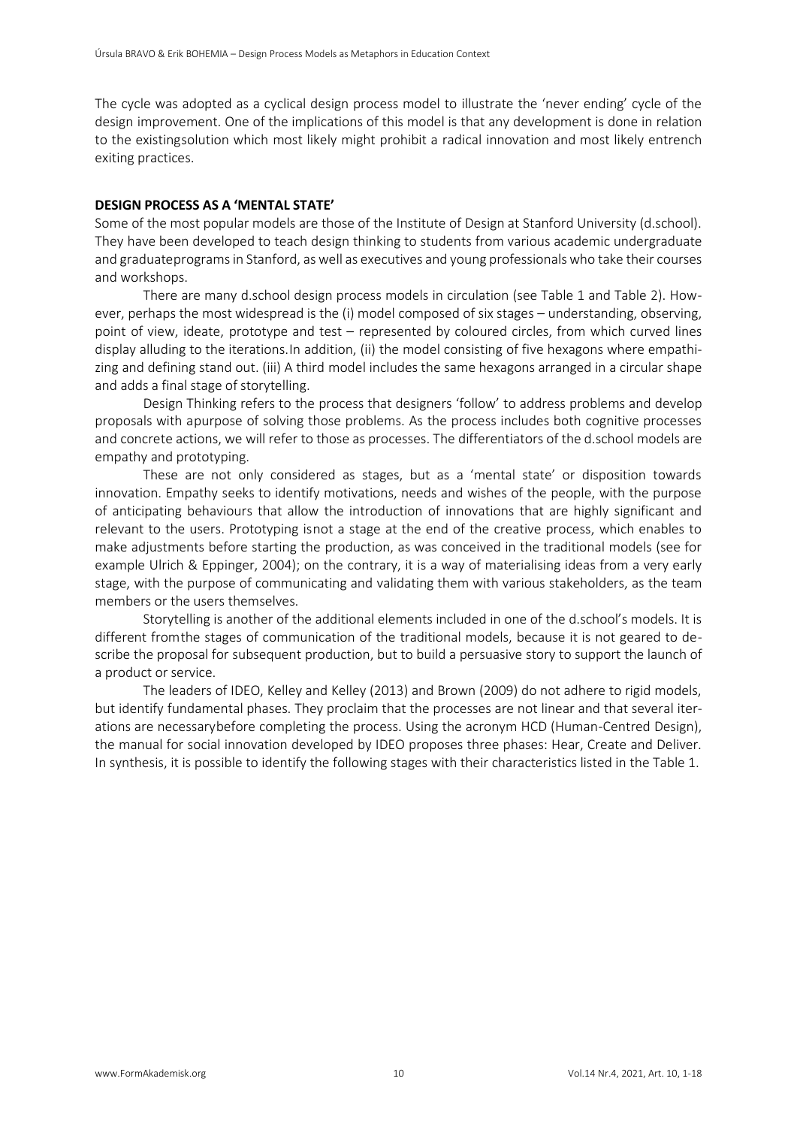The cycle was adopted as a cyclical design process model to illustrate the 'never ending' cycle of the design improvement. One of the implications of this model is that any development is done in relation to the existingsolution which most likely might prohibit a radical innovation and most likely entrench exiting practices.

## **DESIGN PROCESS AS A 'MENTAL STATE'**

Some of the most popular models are those of the Institute of Design at Stanford University (d.school). They have been developed to teach design thinking to students from various academic undergraduate and graduateprograms in Stanford, as well as executives and young professionals who take their courses and workshops.

There are many d.school design process models in circulation (see Table 1 and Table 2). However, perhaps the most widespread is the (i) model composed of six stages – understanding, observing, point of view, ideate, prototype and test – represented by coloured circles, from which curved lines display alluding to the iterations.In addition, (ii) the model consisting of five hexagons where empathizing and defining stand out. (iii) A third model includes the same hexagons arranged in a circular shape and adds a final stage of storytelling.

Design Thinking refers to the process that designers 'follow' to address problems and develop proposals with apurpose of solving those problems. As the process includes both cognitive processes and concrete actions, we will refer to those as processes. The differentiators of the d.school models are empathy and prototyping.

These are not only considered as stages, but as a 'mental state' or disposition towards innovation. Empathy seeks to identify motivations, needs and wishes of the people, with the purpose of anticipating behaviours that allow the introduction of innovations that are highly significant and relevant to the users. Prototyping isnot a stage at the end of the creative process, which enables to make adjustments before starting the production, as was conceived in the traditional models (see for example Ulrich & Eppinger, 2004); on the contrary, it is a way of materialising ideas from a very early stage, with the purpose of communicating and validating them with various stakeholders, as the team members or the users themselves.

Storytelling is another of the additional elements included in one of the d.school's models. It is different fromthe stages of communication of the traditional models, because it is not geared to describe the proposal for subsequent production, but to build a persuasive story to support the launch of a product or service.

The leaders of IDEO, Kelley and Kelley (2013) and Brown (2009) do not adhere to rigid models, but identify fundamental phases. They proclaim that the processes are not linear and that several iterations are necessarybefore completing the process. Using the acronym HCD (Human-Centred Design), the manual for social innovation developed by IDEO proposes three phases: Hear, Create and Deliver. In synthesis, it is possible to identify the following stages with their characteristics listed in the Table 1.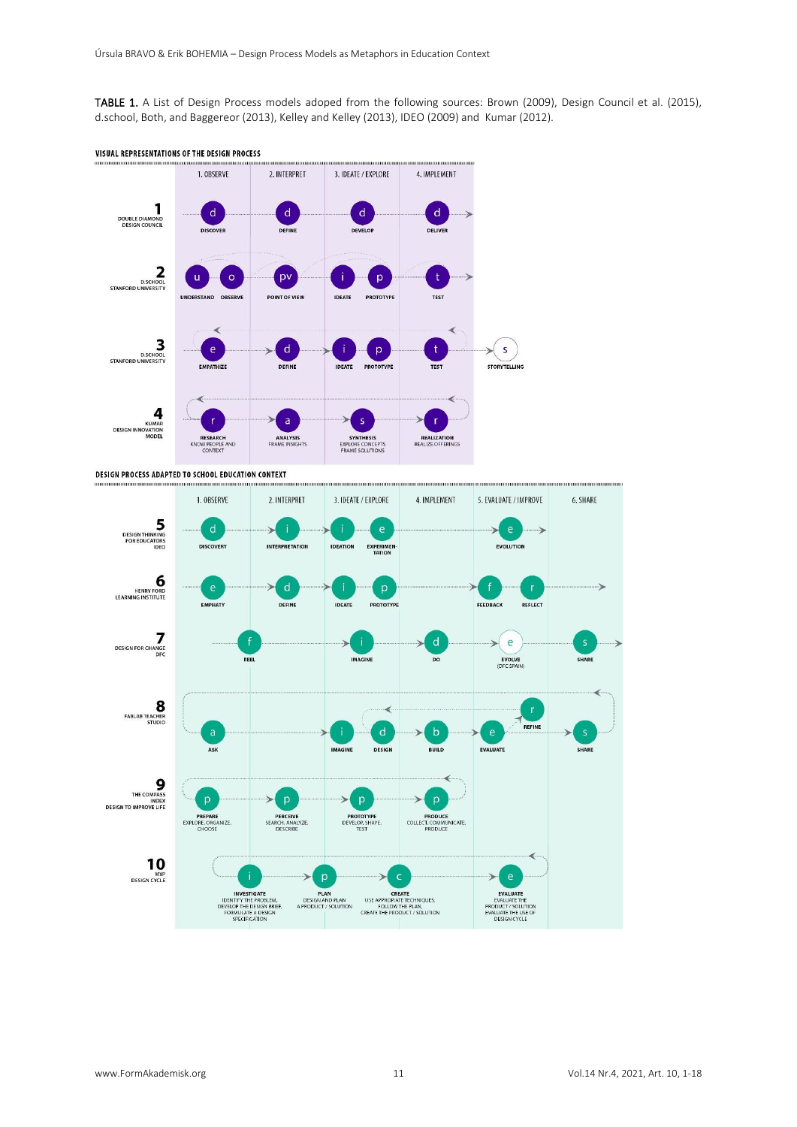TABLE 1. A List of Design Process models adoped from the following sources: Brown (2009), Design Council et al. (2015), d.school, Both, and Baggereor (2013), Kelley and Kelley (2013), IDEO (2009) and Kumar (2012).



DESIGN PROCESS ADAPTED TO SCHOOL EDUCATION CONTEXT

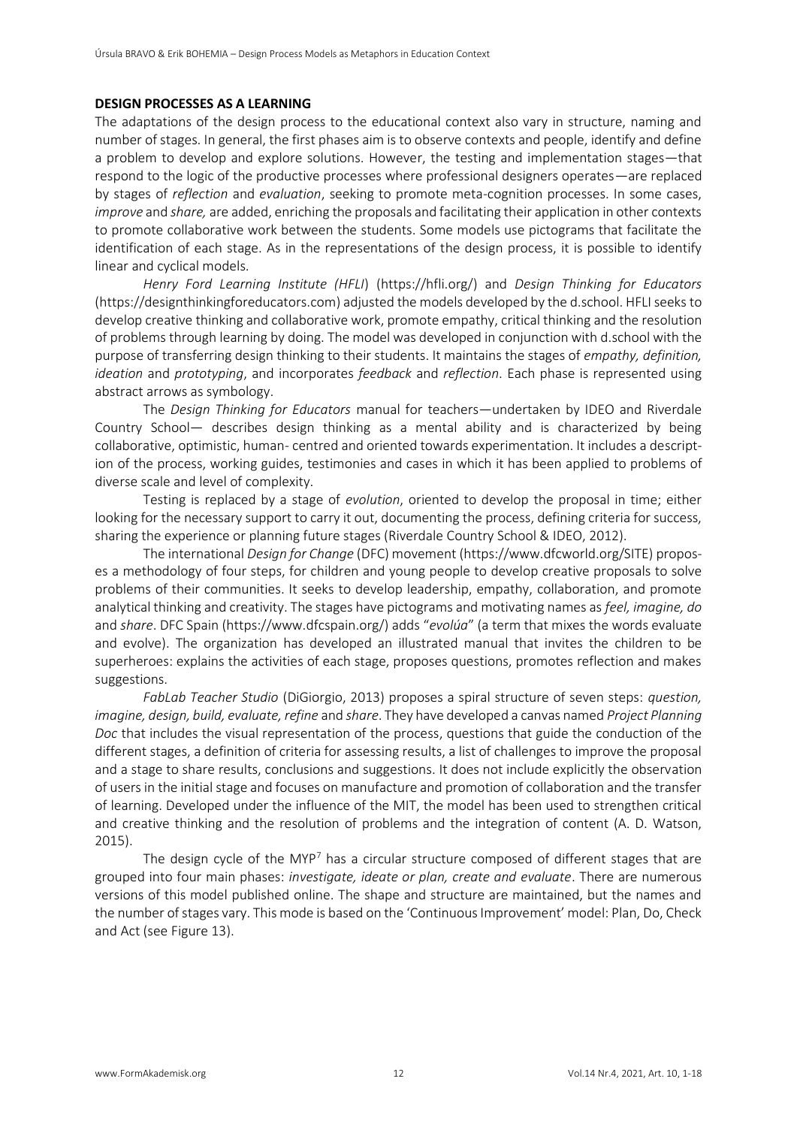#### **DESIGN PROCESSES AS A LEARNING**

The adaptations of the design process to the educational context also vary in structure, naming and number of stages. In general, the first phases aim is to observe contexts and people, identify and define a problem to develop and explore solutions. However, the testing and implementation stages—that respond to the logic of the productive processes where professional designers operates—are replaced by stages of *reflection* and *evaluation*, seeking to promote meta-cognition processes. In some cases, *improve* and *share,* are added, enriching the proposals and facilitating their application in other contexts to promote collaborative work between the students. Some models use pictograms that facilitate the identification of each stage. As in the representations of the design process, it is possible to identify linear and cyclical models.

*Henry Ford Learning Institute (HFLI*) (https://hfli.org/) and *Design Thinking for Educators* (https://designthinkingforeducators.com) adjusted the models developed by the d.school. HFLI seeks to develop creative thinking and collaborative work, promote empathy, critical thinking and the resolution of problems through learning by doing. The model was developed in conjunction with d.school with the purpose of transferring design thinking to their students. It maintains the stages of *empathy, definition, ideation* and *prototyping*, and incorporates *feedback* and *reflection*. Each phase is represented using abstract arrows as symbology.

The *Design Thinking for Educators* manual for teachers—undertaken by IDEO and Riverdale Country School— describes design thinking as a mental ability and is characterized by being collaborative, optimistic, human- centred and oriented towards experimentation. It includes a description of the process, working guides, testimonies and cases in which it has been applied to problems of diverse scale and level of complexity.

Testing is replaced by a stage of *evolution*, oriented to develop the proposal in time; either looking for the necessary support to carry it out, documenting the process, defining criteria for success, sharing the experience or planning future stages (Riverdale Country School & IDEO, 2012).

The international *Design for Change* (DFC) movement (https://www.dfcworld.org/SITE) proposes a methodology of four steps, for children and young people to develop creative proposals to solve problems of their communities. It seeks to develop leadership, empathy, collaboration, and promote analytical thinking and creativity. The stages have pictograms and motivating names as *feel, imagine, do*  and *share*. DFC Spain (https:[//www.dfcspain.org/\)](http://www.dfcspain.org/) adds "*evolúa*" (a term that mixes the words evaluate and evolve). The organization has developed an illustrated manual that invites the children to be superheroes: explains the activities of each stage, proposes questions, promotes reflection and makes suggestions.

*FabLab Teacher Studio* (DiGiorgio, 2013) proposes a spiral structure of seven steps: *question, imagine, design, build, evaluate, refine* and *share*. They have developed a canvas named *Project Planning Doc* that includes the visual representation of the process, questions that guide the conduction of the different stages, a definition of criteria for assessing results, a list of challenges to improve the proposal and a stage to share results, conclusions and suggestions. It does not include explicitly the observation of users in the initial stage and focuses on manufacture and promotion of collaboration and the transfer of learning. Developed under the influence of the MIT, the model has been used to strengthen critical and creative thinking and the resolution of problems and the integration of content (A. D. Watson, 2015).

The design cycle of the MYP<sup>7</sup> has a circular structure composed of different stages that are grouped into four main phases: *investigate, ideate or plan, create and evaluate*. There are numerous versions of this model published online. The shape and structure are maintained, but the names and the number of stages vary. This mode is based on the 'Continuous Improvement' model: Plan, Do, Check and Act (see Figure 13).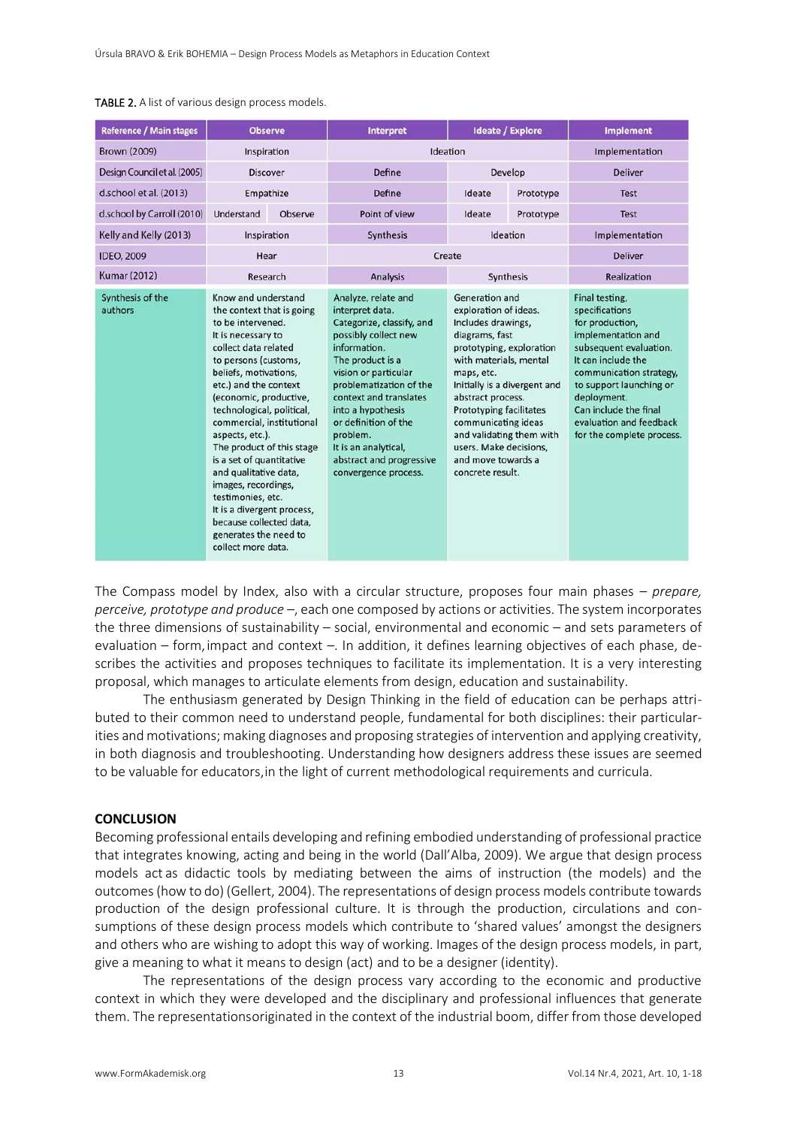| <b>Reference / Main stages</b> | <b>Observe</b>                                                                                                                                                                                                                                                                                                                                                                                                                                                                                                                             |         | <b>Interpret</b>                                                                                                                                                                                                                                                                                                                                  | <b>Ideate / Explore</b>                                                                                                                                                                                                                                                                                                                                           |           | <b>Implement</b>                                                                                                                                                                                                                                                                |
|--------------------------------|--------------------------------------------------------------------------------------------------------------------------------------------------------------------------------------------------------------------------------------------------------------------------------------------------------------------------------------------------------------------------------------------------------------------------------------------------------------------------------------------------------------------------------------------|---------|---------------------------------------------------------------------------------------------------------------------------------------------------------------------------------------------------------------------------------------------------------------------------------------------------------------------------------------------------|-------------------------------------------------------------------------------------------------------------------------------------------------------------------------------------------------------------------------------------------------------------------------------------------------------------------------------------------------------------------|-----------|---------------------------------------------------------------------------------------------------------------------------------------------------------------------------------------------------------------------------------------------------------------------------------|
| <b>Brown (2009)</b>            | Inspiration                                                                                                                                                                                                                                                                                                                                                                                                                                                                                                                                |         | Ideation                                                                                                                                                                                                                                                                                                                                          |                                                                                                                                                                                                                                                                                                                                                                   |           | Implementation                                                                                                                                                                                                                                                                  |
| Design Council et al. (2005)   | <b>Discover</b>                                                                                                                                                                                                                                                                                                                                                                                                                                                                                                                            |         | Define                                                                                                                                                                                                                                                                                                                                            | Develop                                                                                                                                                                                                                                                                                                                                                           |           | <b>Deliver</b>                                                                                                                                                                                                                                                                  |
| d.school et al. (2013)         | Empathize                                                                                                                                                                                                                                                                                                                                                                                                                                                                                                                                  |         | Define                                                                                                                                                                                                                                                                                                                                            | Ideate                                                                                                                                                                                                                                                                                                                                                            | Prototype | <b>Test</b>                                                                                                                                                                                                                                                                     |
| d.school by Carroll (2010)     | Understand                                                                                                                                                                                                                                                                                                                                                                                                                                                                                                                                 | Observe | Point of view                                                                                                                                                                                                                                                                                                                                     | Ideate                                                                                                                                                                                                                                                                                                                                                            | Prototype | <b>Test</b>                                                                                                                                                                                                                                                                     |
| Kelly and Kelly (2013)         | Inspiration                                                                                                                                                                                                                                                                                                                                                                                                                                                                                                                                |         | <b>Synthesis</b>                                                                                                                                                                                                                                                                                                                                  | Ideation                                                                                                                                                                                                                                                                                                                                                          |           | Implementation                                                                                                                                                                                                                                                                  |
| <b>IDEO, 2009</b>              | Hear                                                                                                                                                                                                                                                                                                                                                                                                                                                                                                                                       |         | Create                                                                                                                                                                                                                                                                                                                                            |                                                                                                                                                                                                                                                                                                                                                                   |           | <b>Deliver</b>                                                                                                                                                                                                                                                                  |
| <b>Kumar (2012)</b>            | Research                                                                                                                                                                                                                                                                                                                                                                                                                                                                                                                                   |         | <b>Analysis</b>                                                                                                                                                                                                                                                                                                                                   | Synthesis                                                                                                                                                                                                                                                                                                                                                         |           | Realization                                                                                                                                                                                                                                                                     |
| Synthesis of the<br>authors    | Know and understand<br>the context that is going<br>to be intervened.<br>It is necessary to<br>collect data related<br>to persons (customs,<br>beliefs, motivations,<br>etc.) and the context<br>(economic, productive,<br>technological, political,<br>commercial, institutional<br>aspects, etc.).<br>The product of this stage<br>is a set of quantitative<br>and qualitative data,<br>images, recordings,<br>testimonies, etc.<br>It is a divergent process,<br>because collected data.<br>generates the need to<br>collect more data. |         | Analyze, relate and<br>interpret data.<br>Categorize, classify, and<br>possibly collect new<br>information.<br>The product is a<br>vision or particular<br>problematization of the<br>context and translates<br>into a hypothesis<br>or definition of the<br>problem.<br>It is an analytical,<br>abstract and progressive<br>convergence process. | Generation and<br>exploration of ideas.<br>Includes drawings,<br>diagrams, fast<br>prototyping, exploration<br>with materials, mental<br>maps, etc.<br>Initially is a divergent and<br>abstract process.<br><b>Prototyping facilitates</b><br>communicating ideas<br>and validating them with<br>users. Make decisions.<br>and move towards a<br>concrete result. |           | Final testing,<br>specifications<br>for production,<br>implementation and<br>subsequent evaluation.<br>It can include the<br>communication strategy,<br>to support launching or<br>deployment.<br>Can include the final<br>evaluation and feedback<br>for the complete process. |

The Compass model by Index, also with a circular structure, proposes four main phases – *prepare, perceive, prototype and produce –*, each one composed by actions or activities. The system incorporates the three dimensions of sustainability – social, environmental and economic – and sets parameters of evaluation – form, impact and context –. In addition, it defines learning objectives of each phase, describes the activities and proposes techniques to facilitate its implementation. It is a very interesting proposal, which manages to articulate elements from design, education and sustainability.

The enthusiasm generated by Design Thinking in the field of education can be perhaps attributed to their common need to understand people, fundamental for both disciplines: their particularities and motivations; making diagnoses and proposing strategies of intervention and applying creativity, in both diagnosis and troubleshooting. Understanding how designers address these issues are seemed to be valuable for educators,in the light of current methodological requirements and curricula.

#### **CONCLUSION**

Becoming professional entails developing and refining embodied understanding of professional practice that integrates knowing, acting and being in the world (Dall'Alba, 2009). We argue that design process models act as didactic tools by mediating between the aims of instruction (the models) and the outcomes (how to do) (Gellert, 2004). The representations of design process models contribute towards production of the design professional culture. It is through the production, circulations and consumptions of these design process models which contribute to 'shared values' amongst the designers and others who are wishing to adopt this way of working. Images of the design process models, in part, give a meaning to what it means to design (act) and to be a designer (identity).

The representations of the design process vary according to the economic and productive context in which they were developed and the disciplinary and professional influences that generate them. The representationsoriginated in the context of the industrial boom, differ from those developed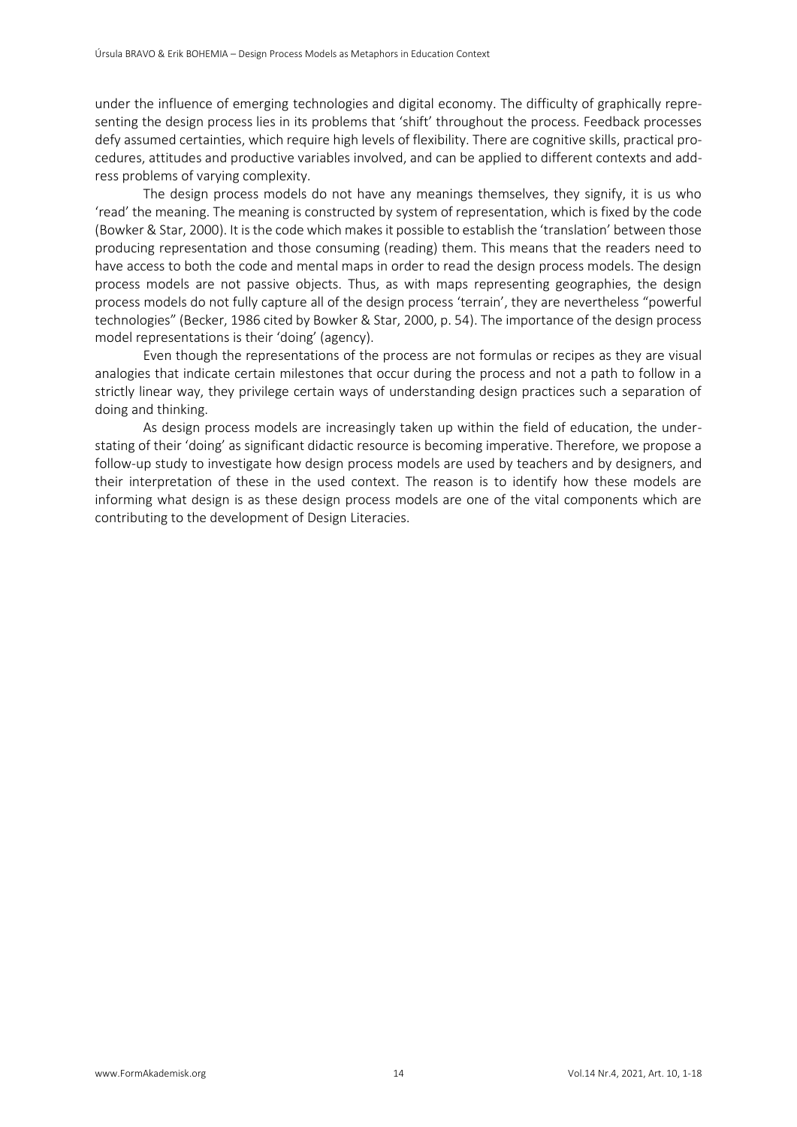under the influence of emerging technologies and digital economy. The difficulty of graphically representing the design process lies in its problems that 'shift' throughout the process. Feedback processes defy assumed certainties, which require high levels of flexibility. There are cognitive skills, practical procedures, attitudes and productive variables involved, and can be applied to different contexts and address problems of varying complexity.

The design process models do not have any meanings themselves, they signify, it is us who 'read' the meaning. The meaning is constructed by system of representation, which is fixed by the code (Bowker & Star, 2000). It is the code which makes it possible to establish the 'translation' between those producing representation and those consuming (reading) them. This means that the readers need to have access to both the code and mental maps in order to read the design process models. The design process models are not passive objects. Thus, as with maps representing geographies, the design process models do not fully capture all of the design process 'terrain', they are nevertheless "powerful technologies" (Becker, 1986 cited by Bowker & Star, 2000, p. 54). The importance of the design process model representations is their 'doing' (agency).

Even though the representations of the process are not formulas or recipes as they are visual analogies that indicate certain milestones that occur during the process and not a path to follow in a strictly linear way, they privilege certain ways of understanding design practices such a separation of doing and thinking.

As design process models are increasingly taken up within the field of education, the understating of their 'doing' as significant didactic resource is becoming imperative. Therefore, we propose a follow-up study to investigate how design process models are used by teachers and by designers, and their interpretation of these in the used context. The reason is to identify how these models are informing what design is as these design process models are one of the vital components which are contributing to the development of Design Literacies.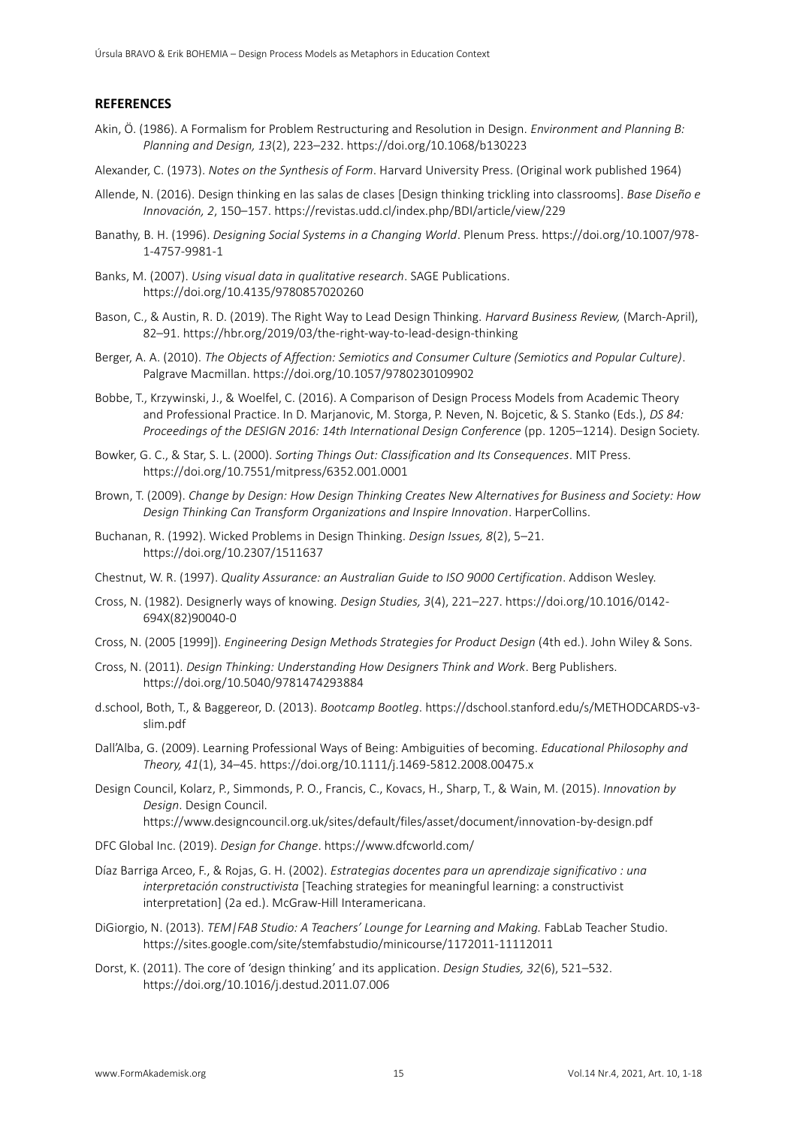## **REFERENCES**

- Akin, Ö. (1986). A Formalism for Problem Restructuring and Resolution in Design. *Environment and Planning B: Planning and Design, 13*(2), 223–232. https://doi.org/10.1068/b130223
- Alexander, C. (1973). *Notes on the Synthesis of Form*. Harvard University Press. (Original work published 1964)
- Allende, N. (2016). Design thinking en las salas de clases [Design thinking trickling into classrooms]. *Base Diseño e Innovación, 2*, 150–157. https://revistas.udd.cl/index.php/BDI/article/view/229
- Banathy, B. H. (1996). *Designing Social Systems in a Changing World*. Plenum Press. https://doi.org/10.1007/978- 1-4757-9981-1
- Banks, M. (2007). *Using visual data in qualitative research*. SAGE Publications. https://doi.org/10.4135/9780857020260
- Bason, C., & Austin, R. D. (2019). The Right Way to Lead Design Thinking. *Harvard Business Review,* (March-April), 82–91. https://hbr.org/2019/03/the-right-way-to-lead-design-thinking
- Berger, A. A. (2010). *The Objects of Affection: Semiotics and Consumer Culture (Semiotics and Popular Culture)*. Palgrave Macmillan. https://doi.org/10.1057/9780230109902
- Bobbe, T., Krzywinski, J., & Woelfel, C. (2016). A Comparison of Design Process Models from Academic Theory and Professional Practice. In D. Marjanovic, M. Storga, P. Neven, N. Bojcetic, & S. Stanko (Eds.), *DS 84: Proceedings of the DESIGN 2016: 14th International Design Conference* (pp. 1205–1214). Design Society.
- Bowker, G. C., & Star, S. L. (2000). *Sorting Things Out: Classification and Its Consequences*. MIT Press. https://doi.org/10.7551/mitpress/6352.001.0001
- Brown, T. (2009). *Change by Design: How Design Thinking Creates New Alternatives for Business and Society: How Design Thinking Can Transform Organizations and Inspire Innovation*. HarperCollins.
- Buchanan, R. (1992). Wicked Problems in Design Thinking. *Design Issues, 8*(2), 5–21. https://doi.org/10.2307/1511637
- Chestnut, W. R. (1997). *Quality Assurance: an Australian Guide to ISO 9000 Certification*. Addison Wesley.
- Cross, N. (1982). Designerly ways of knowing. *Design Studies, 3*(4), 221–227. https://doi.org/10.1016/0142- 694X(82)90040-0
- Cross, N. (2005 [1999]). *Engineering Design Methods Strategies for Product Design* (4th ed.). John Wiley & Sons.
- Cross, N. (2011). *Design Thinking: Understanding How Designers Think and Work*. Berg Publishers. https://doi.org/10.5040/9781474293884
- d.school, Both, T., & Baggereor, D. (2013). *Bootcamp Bootleg*. https://dschool.stanford.edu/s/METHODCARDS-v3 slim.pdf
- Dall'Alba, G. (2009). Learning Professional Ways of Being: Ambiguities of becoming. *Educational Philosophy and Theory, 41*(1), 34–45. https://doi.org/10.1111/j.1469-5812.2008.00475.x
- Design Council, Kolarz, P., Simmonds, P. O., Francis, C., Kovacs, H., Sharp, T., & Wain, M. (2015). *Innovation by Design*. Design Council. https:[//www.designcouncil.org.uk/sites/default/files/asset/document/innovation-by-design.pdf](http://www.designcouncil.org.uk/sites/default/files/asset/document/innovation-by-design.pdf)
- DFC Global Inc. (2019). *Design for Change*. https:[//www.dfcworld.com/](http://www.dfcworld.com/)
- Díaz Barriga Arceo, F., & Rojas, G. H. (2002). *Estrategias docentes para un aprendizaje significativo : una interpretación constructivista* [Teaching strategies for meaningful learning: a constructivist interpretation] (2a ed.). McGraw-Hill Interamericana.
- DiGiorgio, N. (2013). *TEM|FAB Studio: A Teachers' Lounge for Learning and Making.* FabLab Teacher Studio. https://sites.google.com/site/stemfabstudio/minicourse/1172011-11112011
- Dorst, K. (2011). The core of 'design thinking' and its application. *Design Studies, 32*(6), 521–532. https://doi.org/10.1016/j.destud.2011.07.006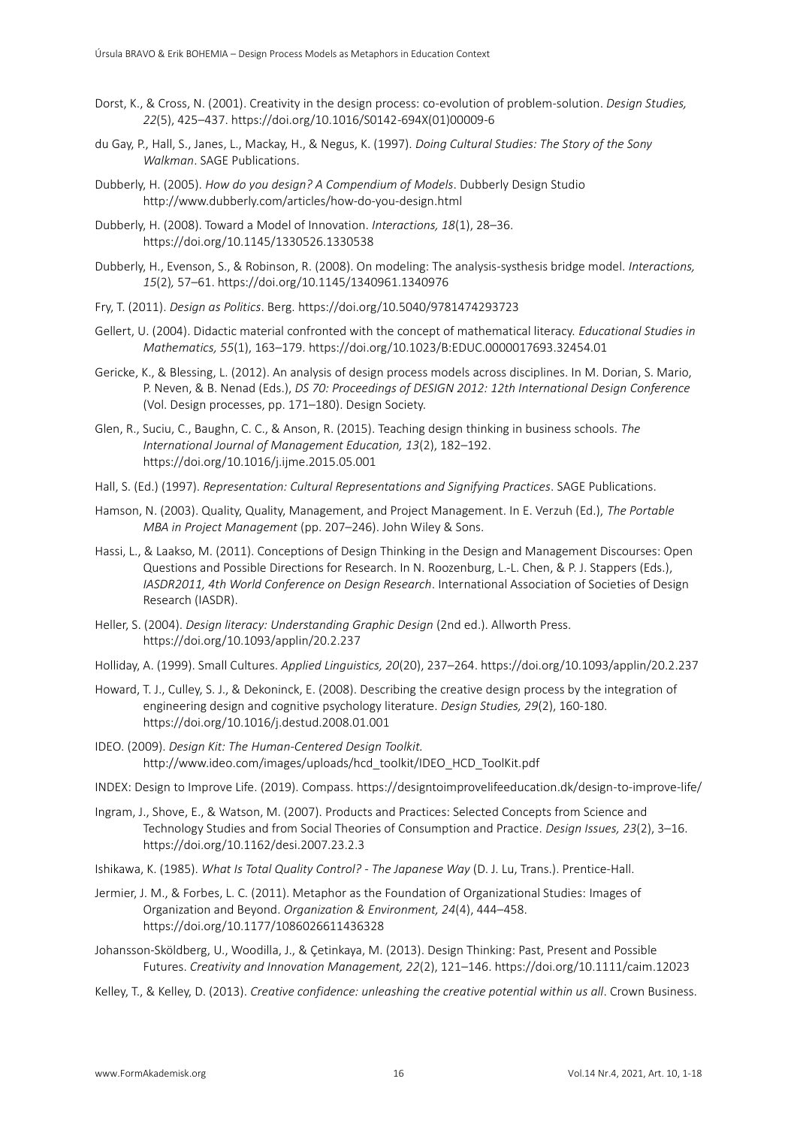- Dorst, K., & Cross, N. (2001). Creativity in the design process: co-evolution of problem-solution. *Design Studies, 22*(5), 425–437. https://doi.org/10.1016/S0142-694X(01)00009-6
- du Gay, P., Hall, S., Janes, L., Mackay, H., & Negus, K. (1997). *Doing Cultural Studies: The Story of the Sony Walkman*. SAGE Publications.
- Dubberly, H. (2005). *How do you design? A Compendium of Models*. Dubberly Design Studio <http://www.dubberly.com/articles/how-do-you-design.html>
- Dubberly, H. (2008). Toward a Model of Innovation. *Interactions, 18*(1), 28–36. https://doi.org/10.1145/1330526.1330538
- Dubberly, H., Evenson, S., & Robinson, R. (2008). On modeling: The analysis-systhesis bridge model. *Interactions, 15*(2)*,* 57–61. https://doi.org/10.1145/1340961.1340976
- Fry, T. (2011). *Design as Politics*. Berg. https://doi.org/10.5040/9781474293723
- Gellert, U. (2004). Didactic material confronted with the concept of mathematical literacy. *Educational Studies in Mathematics, 55*(1), 163–179. https://doi.org/10.1023/B:EDUC.0000017693.32454.01
- Gericke, K., & Blessing, L. (2012). An analysis of design process models across disciplines. In M. Dorian, S. Mario, P. Neven, & B. Nenad (Eds.), *DS 70: Proceedings of DESIGN 2012: 12th International Design Conference*  (Vol. Design processes, pp. 171–180). Design Society.
- Glen, R., Suciu, C., Baughn, C. C., & Anson, R. (2015). Teaching design thinking in business schools. *The International Journal of Management Education, 13*(2), 182–192. https://doi.org/10.1016/j.ijme.2015.05.001
- Hall, S. (Ed.) (1997). *Representation: Cultural Representations and Signifying Practices*. SAGE Publications.
- Hamson, N. (2003). Quality, Quality, Management, and Project Management. In E. Verzuh (Ed.), *The Portable MBA in Project Management* (pp. 207–246). John Wiley & Sons.
- Hassi, L., & Laakso, M. (2011). Conceptions of Design Thinking in the Design and Management Discourses: Open Questions and Possible Directions for Research. In N. Roozenburg, L.-L. Chen, & P. J. Stappers (Eds.), *IASDR2011, 4th World Conference on Design Research*. International Association of Societies of Design Research (IASDR).
- Heller, S. (2004). *Design literacy: Understanding Graphic Design* (2nd ed.). Allworth Press. https://doi.org/10.1093/applin/20.2.237
- Holliday, A. (1999). Small Cultures. *Applied Linguistics, 20*(20), 237–264. https://doi.org/10.1093/applin/20.2.237
- Howard, T. J., Culley, S. J., & Dekoninck, E. (2008). Describing the creative design process by the integration of engineering design and cognitive psychology literature. *Design Studies, 29*(2), 160-180. https://doi.org/10.1016/j.destud.2008.01.001
- IDEO. (2009). *Design Kit: The Human-Centered Design Toolkit.* [http://www.ideo.com/images/uploads/hcd\\_toolkit/IDEO\\_HCD\\_ToolKit.pdf](http://www.ideo.com/images/uploads/hcd_toolkit/IDEO_HCD_ToolKit.pdf)

INDEX: Design to Improve Life. (2019). Compass. https://designtoimprovelifeeducation.dk/design-to-improve-life/

Ingram, J., Shove, E., & Watson, M. (2007). Products and Practices: Selected Concepts from Science and Technology Studies and from Social Theories of Consumption and Practice. *Design Issues, 23*(2), 3–16. https://doi.org/10.1162/desi.2007.23.2.3

Ishikawa, K. (1985). *What Is Total Quality Control? - The Japanese Way* (D. J. Lu, Trans.). Prentice-Hall.

- Jermier, J. M., & Forbes, L. C. (2011). Metaphor as the Foundation of Organizational Studies: Images of Organization and Beyond. *Organization & Environment, 24*(4), 444–458. https://doi.org/10.1177/1086026611436328
- Johansson-Sköldberg, U., Woodilla, J., & Çetinkaya, M. (2013). Design Thinking: Past, Present and Possible Futures. *Creativity and Innovation Management, 22*(2), 121–146. https://doi.org/10.1111/caim.12023
- Kelley, T., & Kelley, D. (2013). *Creative confidence: unleashing the creative potential within us all*. Crown Business.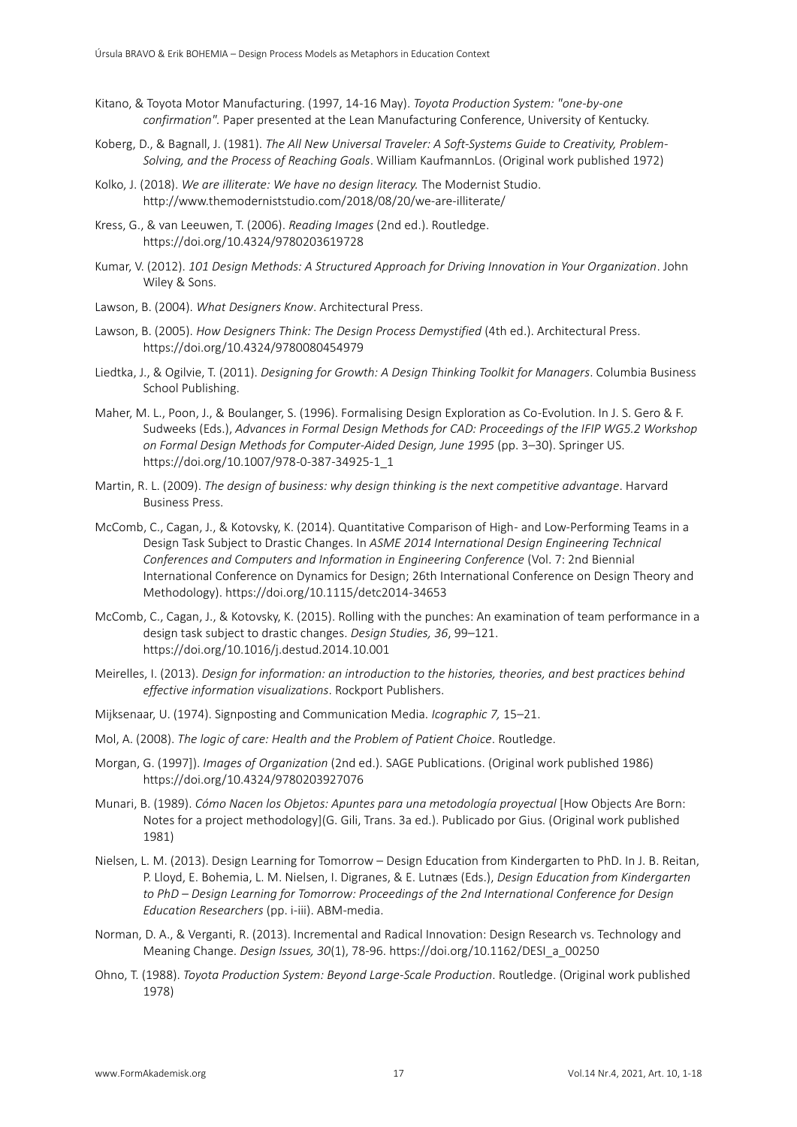- Kitano, & Toyota Motor Manufacturing. (1997, 14-16 May). *Toyota Production System: "one-by-one confirmation".* Paper presented at the Lean Manufacturing Conference, University of Kentucky.
- Koberg, D., & Bagnall, J. (1981). *The All New Universal Traveler: A Soft-Systems Guide to Creativity, Problem-Solving, and the Process of Reaching Goals*. William KaufmannLos. (Original work published 1972)
- Kolko, J. (2018). *We are illiterate: We have no design literacy.* The Modernist Studio. <http://www.themoderniststudio.com/2018/08/20/we-are-illiterate/>
- Kress, G., & van Leeuwen, T. (2006). *Reading Images* (2nd ed.). Routledge. https://doi.org/10.4324/9780203619728
- Kumar, V. (2012). *101 Design Methods: A Structured Approach for Driving Innovation in Your Organization*. John Wiley & Sons.
- Lawson, B. (2004). *What Designers Know*. Architectural Press.
- Lawson, B. (2005). *How Designers Think: The Design Process Demystified* (4th ed.). Architectural Press. https://doi.org/10.4324/9780080454979
- Liedtka, J., & Ogilvie, T. (2011). *Designing for Growth: A Design Thinking Toolkit for Managers*. Columbia Business School Publishing.
- Maher, M. L., Poon, J., & Boulanger, S. (1996). Formalising Design Exploration as Co-Evolution. In J. S. Gero & F. Sudweeks (Eds.), *Advances in Formal Design Methods for CAD: Proceedings of the IFIP WG5.2 Workshop on Formal Design Methods for Computer-Aided Design, June 1995* (pp. 3–30). Springer US. https://doi.org/10.1007/978-0-387-34925-1\_1
- Martin, R. L. (2009). *The design of business: why design thinking is the next competitive advantage*. Harvard Business Press.
- McComb, C., Cagan, J., & Kotovsky, K. (2014). Quantitative Comparison of High- and Low-Performing Teams in a Design Task Subject to Drastic Changes. In *ASME 2014 International Design Engineering Technical Conferences and Computers and Information in Engineering Conference* (Vol. 7: 2nd Biennial International Conference on Dynamics for Design; 26th International Conference on Design Theory and Methodology). https://doi.org/10.1115/detc2014-34653
- McComb, C., Cagan, J., & Kotovsky, K. (2015). Rolling with the punches: An examination of team performance in a design task subject to drastic changes. *Design Studies, 36*, 99–121. https://doi.org/10.1016/j.destud.2014.10.001
- Meirelles, I. (2013). *Design for information: an introduction to the histories, theories, and best practices behind effective information visualizations*. Rockport Publishers.
- Mijksenaar, U. (1974). Signposting and Communication Media. *Icographic 7,* 15–21.
- Mol, A. (2008). *The logic of care: Health and the Problem of Patient Choice*. Routledge.
- Morgan, G. (1997]). *Images of Organization* (2nd ed.). SAGE Publications. (Original work published 1986) https://doi.org/10.4324/9780203927076
- Munari, B. (1989). *Cómo Nacen los Objetos: Apuntes para una metodología proyectual* [How Objects Are Born: Notes for a project methodology](G. Gili, Trans. 3a ed.). Publicado por Gius. (Original work published 1981)
- Nielsen, L. M. (2013). Design Learning for Tomorrow Design Education from Kindergarten to PhD. In J. B. Reitan, P. Lloyd, E. Bohemia, L. M. Nielsen, I. Digranes, & E. Lutnæs (Eds.), *Design Education from Kindergarten to PhD – Design Learning for Tomorrow: Proceedings of the 2nd International Conference for Design Education Researchers* (pp. i-iii). ABM-media.
- Norman, D. A., & Verganti, R. (2013). Incremental and Radical Innovation: Design Research vs. Technology and Meaning Change. *Design Issues, 30*(1), 78-96. https://doi.org/10.1162/DESI\_a\_00250
- Ohno, T. (1988). *Toyota Production System: Beyond Large-Scale Production*. Routledge. (Original work published 1978)